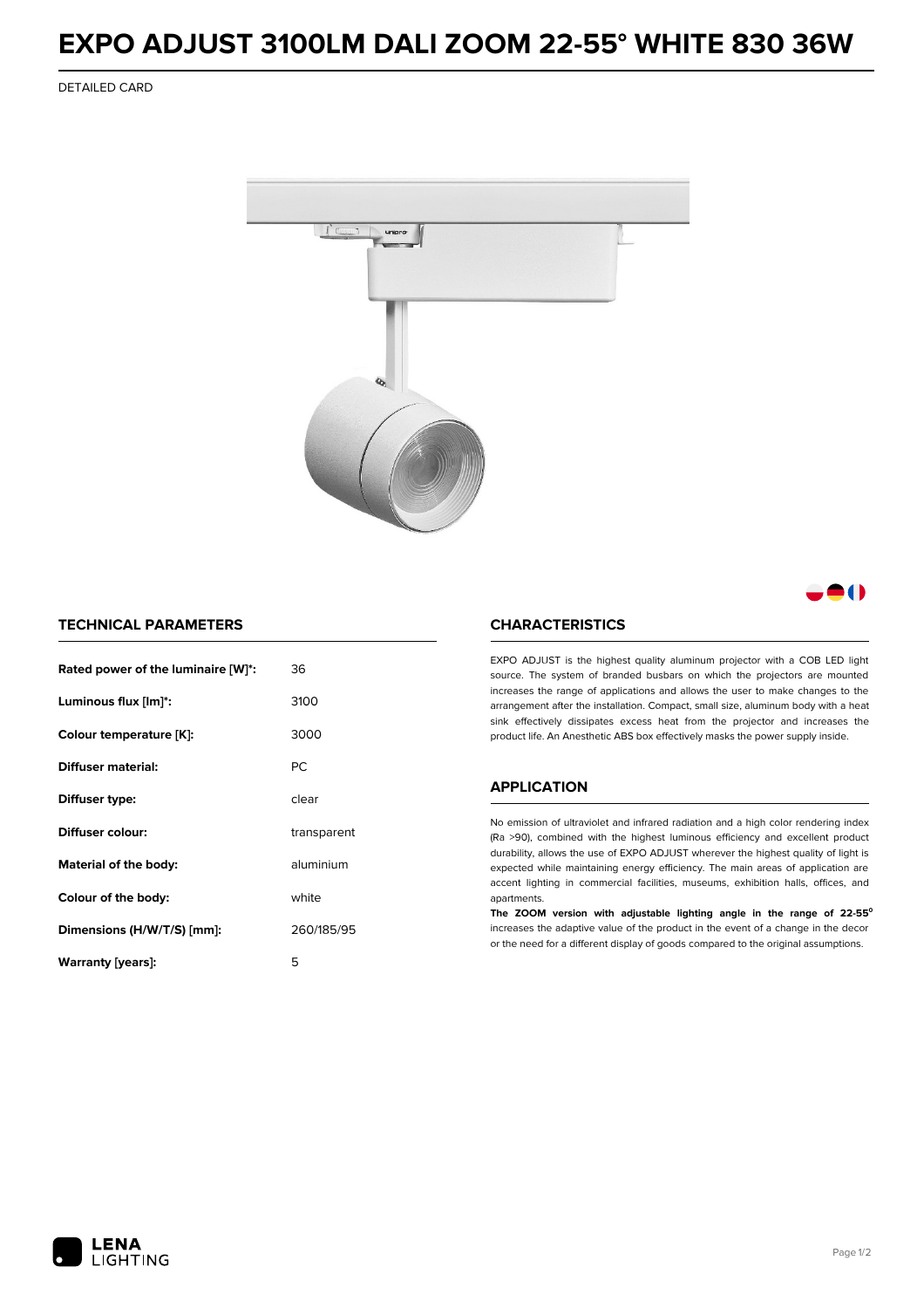## **EXPO ADJUST 3100LM DALI ZOOM 22-55° WHITE 830 36W**

DETAILED CARD



M

### **TECHNICAL PARAMETERS**

| Rated power of the luminaire [W]*: | 36          |  |
|------------------------------------|-------------|--|
| Luminous flux [lm]*:               | 3100        |  |
| Colour temperature [K]:            | 3000        |  |
| Diffuser material:                 | PC.         |  |
| Diffuser type:                     | clear       |  |
| Diffuser colour:                   | transparent |  |
| aluminium<br>Material of the body: |             |  |
| Colour of the body:                | white       |  |
| Dimensions (H/W/T/S) [mm]:         | 260/185/95  |  |
| Warranty (years):                  | 5           |  |

#### **CHARACTERISTICS**

EXPO ADJUST is the highest quality aluminum projector with a COB LED light source. The system of branded busbars on which the projectors are mounted increases the range of applications and allows the user to make changes to the arrangement after the installation. Compact, small size, aluminum body with a heat sink effectively dissipates excess heat from the projector and increases the product life. An Anesthetic ABS box effectively masks the power supply inside.

#### **APPLICATION**

No emission of ultraviolet and infrared radiation and a high color rendering index (Ra >90), combined with the highest luminous efficiency and excellent product durability, allows the use of EXPO ADJUST wherever the highest quality of light is expected while maintaining energy efficiency. The main areas of application are accent lighting in commercial facilities, museums, exhibition halls, offices, and apartments.

**The ZOOM version with adjustable lighting angle in the range of 22-55⁰** increases the adaptive value of the product in the event of a change in the decor or the need for a different display of goods compared to the original assumptions.